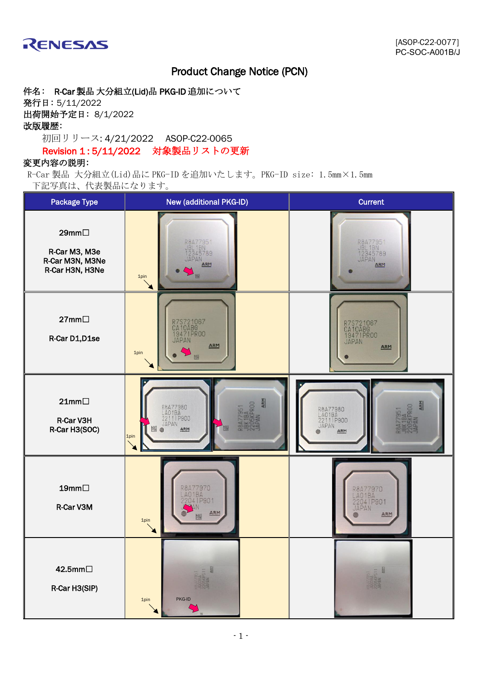

# Product Change Notice (PCN)

件名: R-Car 製品 大分組立(Lid)品 PKG-ID 追加について 発行日: 5/11/2022 出荷開始予定日: 8/1/2022 改版履歴: 初回リリース: 4/21/2022 ASOP-C22-0065

### Revision 1 : 5/11/2022 対象製品リストの更新

### 変更内容の説明:

R-Car 製品 大分組立(Lid)品に PKG-ID を追加いたします。PKG-ID size: 1.5mm×1.5mm 下記写真は、代表製品になります。

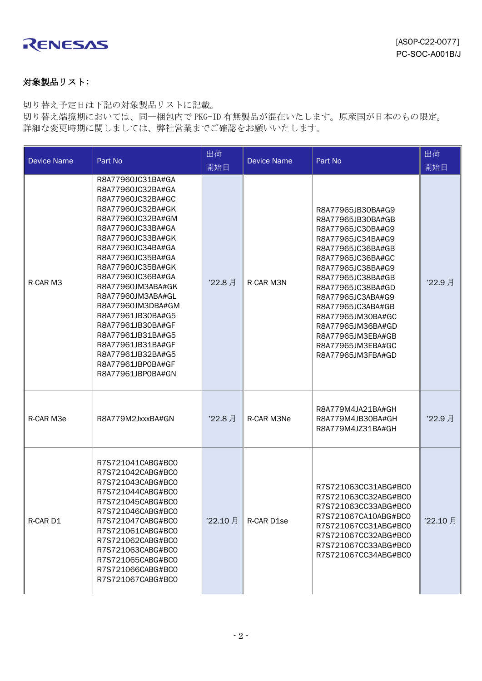

## 対象製品リスト:

切り替え予定日は下記の対象製品リストに記載。

切り替え端境期においては、同一梱包内で PKG-ID 有無製品が混在いたします。原産国が日本のもの限定。 詳細な変更時期に関しましては、弊社営業までご確認をお願いいたします。

| <b>Device Name</b> | Part No                                                                                                                                                                                                                                                                                                                                                                                                                                               | 出荷<br>開始日 | <b>Device Name</b> | Part No                                                                                                                                                                                                                                                                                                                                      | 出荷<br>開始日 |
|--------------------|-------------------------------------------------------------------------------------------------------------------------------------------------------------------------------------------------------------------------------------------------------------------------------------------------------------------------------------------------------------------------------------------------------------------------------------------------------|-----------|--------------------|----------------------------------------------------------------------------------------------------------------------------------------------------------------------------------------------------------------------------------------------------------------------------------------------------------------------------------------------|-----------|
| R-CAR M3           | R8A77960JC31BA#GA<br>R8A77960JC32BA#GA<br>R8A77960JC32BA#GC<br>R8A77960JC32BA#GK<br>R8A77960JC32BA#GM<br>R8A77960JC33BA#GA<br>R8A77960JC33BA#GK<br>R8A77960JC34BA#GA<br>R8A77960JC35BA#GA<br>R8A77960JC35BA#GK<br>R8A77960JC36BA#GA<br>R8A77960JM3ABA#GK<br>R8A77960JM3ABA#GL<br>R8A77960JM3DBA#GM<br>R8A77961JB30BA#G5<br>R8A77961JB30BA#GF<br>R8A77961JB31BA#G5<br>R8A77961JB31BA#GF<br>R8A77961JB32BA#G5<br>R8A77961JBP0BA#GF<br>R8A77961JBP0BA#GN | '22.8月    | R-CAR M3N          | R8A77965JB30BA#G9<br>R8A77965JB30BA#GB<br>R8A77965JC30BA#G9<br>R8A77965JC34BA#G9<br>R8A77965JC36BA#GB<br>R8A77965JC36BA#GC<br>R8A77965JC38BA#G9<br>R8A77965JC38BA#GB<br>R8A77965JC38BA#GD<br>R8A77965JC3ABA#G9<br>R8A77965JC3ABA#GB<br>R8A77965JM30BA#GC<br>R8A77965JM36BA#GD<br>R8A77965JM3EBA#GB<br>R8A77965JM3EBA#GC<br>R8A77965JM3FBA#GD | '22.9月    |
| R-CAR M3e          | R8A779M2JxxxBA#GN                                                                                                                                                                                                                                                                                                                                                                                                                                     | '22.8月    | R-CAR M3Ne         | R8A779M4JA21BA#GH<br>R8A779M4JB30BA#GH<br>R8A779M4JZ31BA#GH                                                                                                                                                                                                                                                                                  | '22.9 月   |
| R-CAR D1           | R7S721041CABG#BC0<br>R7S721042CABG#BC0<br>R7S721043CABG#BC0<br>R7S721044CABG#BC0<br>R7S721045CABG#BC0<br>R7S721046CABG#BC0<br>R7S721047CABG#BC0<br>R7S721061CABG#BC0<br>R7S721062CABG#BC0<br>R7S721063CABG#BC0<br>R7S721065CABG#BC0<br>R7S721066CABG#BC0<br>R7S721067CABG#BC0                                                                                                                                                                         | '22.10月   | R-CAR D1se         | R7S721063CC31ABG#BC0<br>R7S721063CC32ABG#BC0<br>R7S721063CC33ABG#BC0<br>R7S721067CA10ABG#BC0<br>R7S721067CC31ABG#BC0<br>R7S721067CC32ABG#BC0<br>R7S721067CC33ABG#BC0<br>R7S721067CC34ABG#BC0                                                                                                                                                 | '22.10月   |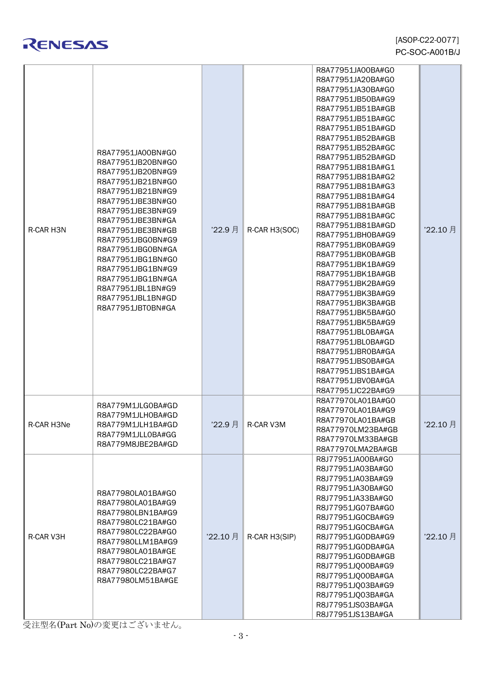

| RENESAS |  |
|---------|--|
|---------|--|

| R-CAR H3N  | R8A77951JA00BN#G0<br>R8A77951JB20BN#G0<br>R8A77951JB20BN#G9<br>R8A77951JB21BN#G0<br>R8A77951JB21BN#G9<br>R8A77951JBE3BN#G0<br>R8A77951JBE3BN#G9<br>R8A77951JBE3BN#GA<br>R8A77951JBE3BN#GB<br>R8A77951JBG0BN#G9<br>R8A77951JBG0BN#GA<br>R8A77951JBG1BN#G0<br>R8A77951JBG1BN#G9<br>R8A77951JBG1BN#GA<br>R8A77951JBL1BN#G9<br>R8A77951JBL1BN#GD<br>R8A77951JBT0BN#GA | '22.9 月 | R-CAR H3(SOC) | R8A77951JA00BA#G0<br>R8A77951JA20BA#G0<br>R8A77951JA30BA#G0<br>R8A77951JB50BA#G9<br>R8A77951JB51BA#GB<br>R8A77951JB51BA#GC<br>R8A77951JB51BA#GD<br>R8A77951JB52BA#GB<br>R8A77951JB52BA#GC<br>R8A77951JB52BA#GD<br>R8A77951JB81BA#G1<br>R8A77951JB81BA#G2<br>R8A77951JB81BA#G3<br>R8A77951JB81BA#G4<br>R8A77951JB81BA#GB<br>R8A77951JB81BA#GC<br>R8A77951JB81BA#GD<br>R8A77951JBH0BA#G9<br>R8A77951JBK0BA#G9<br>R8A77951JBK0BA#GB<br>R8A77951JBK1BA#G9<br>R8A77951JBK1BA#GB<br>R8A77951JBK2BA#G9<br>R8A77951JBK3BA#G9<br>R8A77951JBK3BA#GB<br>R8A77951JBK5BA#G0<br>R8A77951JBK5BA#G9<br>R8A77951JBL0BA#GA<br>R8A77951JBL0BA#GD<br>R8A77951JBR0BA#GA<br>R8A77951JBS0BA#GA<br>R8A77951JBS1BA#GA<br>R8A77951JBV0BA#GA | '22.10 月 |
|------------|-------------------------------------------------------------------------------------------------------------------------------------------------------------------------------------------------------------------------------------------------------------------------------------------------------------------------------------------------------------------|---------|---------------|-------------------------------------------------------------------------------------------------------------------------------------------------------------------------------------------------------------------------------------------------------------------------------------------------------------------------------------------------------------------------------------------------------------------------------------------------------------------------------------------------------------------------------------------------------------------------------------------------------------------------------------------------------------------------------------------------------------------|----------|
| R-CAR H3Ne | R8A779M1JLG0BA#GD<br>R8A779M1JLH0BA#GD<br>R8A779M1JLH1BA#GD<br>R8A779M1JLL0BA#GG<br>R8A779M8JBE2BA#GD                                                                                                                                                                                                                                                             | 22.9 月  | R-CAR V3M     | R8A77951JC22BA#G9<br>R8A77970LA01BA#G0<br>R8A77970LA01BA#G9<br>R8A77970LA01BA#GB<br>R8A77970LM23BA#GB<br>R8A77970LM33BA#GB<br>R8A77970LMA2BA#GB                                                                                                                                                                                                                                                                                                                                                                                                                                                                                                                                                                   | 22.10月   |
| R-CAR V3H  | R8A77980LA01BA#G0<br>R8A77980LA01BA#G9<br>R8A77980LBN1BA#G9<br>R8A77980LC21BA#G0<br>R8A77980LC22BA#G0<br>R8A77980LLM1BA#G9<br>R8A77980LA01BA#GE<br>R8A77980LC21BA#G7<br>R8A77980LC22BA#G7<br>R8A77980LM51BA#GE                                                                                                                                                    | '22.10月 | R-CAR H3(SIP) | R8J77951JA00BA#G0<br>R8J77951JA03BA#G0<br>R8J77951JA03BA#G9<br>R8J77951JA30BA#G0<br>R8J77951JA33BA#G0<br>R8J77951JG07BA#G0<br>R8J77951JG0CBA#G9<br>R8J77951JG0CBA#GA<br>R8J77951JG0DBA#G9<br>R8J77951JG0DBA#GA<br>R8J77951JG0DBA#GB<br>R8J77951JQ00BA#G9<br>R8J77951JQ00BA#GA<br>R8J77951JQ03BA#G9<br>R8J77951JQ03BA#GA<br>R8J77951JS03BA#GA<br>R8J77951JS13BA#GA                                                                                                                                                                                                                                                                                                                                                 | '22.10月  |

受注型名(Part No)の変更はございません。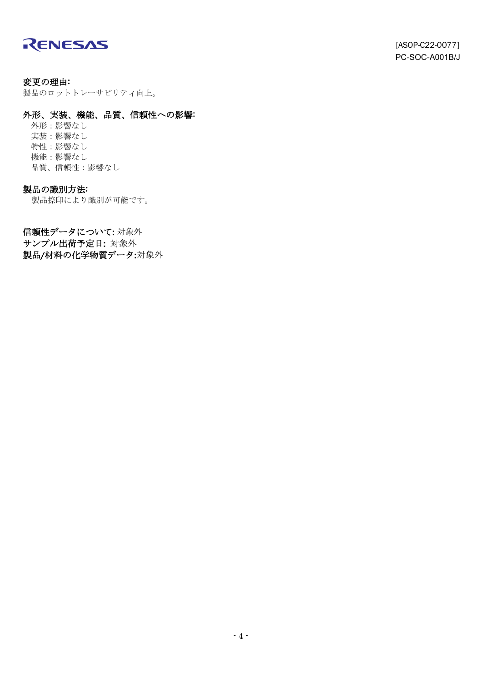

変更の理由: 製品のロットトレーサビリティ向上。

#### 外形、実装、機能、品質、信頼性への影響:

外形:影響なし 実装:影響なし 特性:影響なし 機能:影響なし 品質、信頼性:影響なし

### 製品の識別方法:

製品捺印により識別が可能です。

信頼性データについて: 対象外 サンプル出荷予定日: 対象外 製品/材料の化学物質データ:対象外